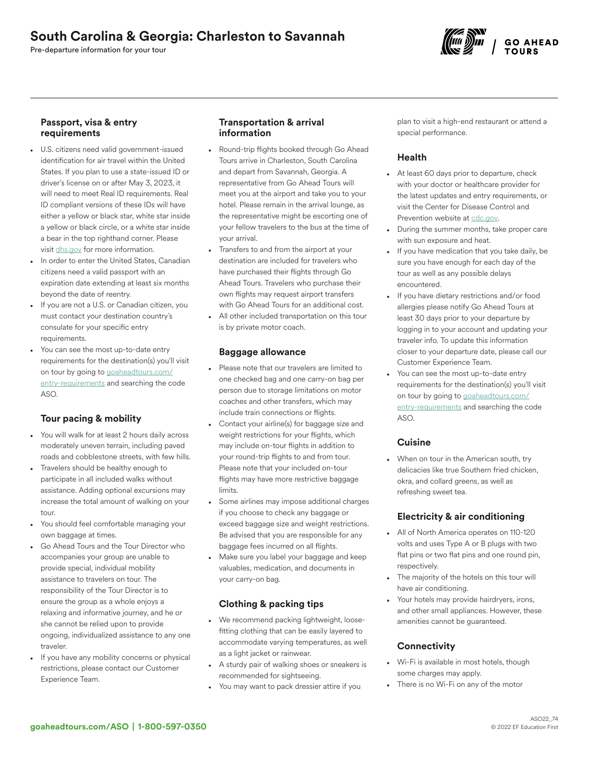# South Carolina & Georgia: Charleston to Savannah

Pre-departure information for your tour



### Passport, visa & entry requirements

- U.S. citizens need valid government-issued identification for air travel within the United States. If you plan to use a state-issued ID or driver's license on or after May 3, 2023, it will need to meet Real ID requirements. Real ID compliant versions of these IDs will have either a yellow or black star, white star inside a yellow or black circle, or a white star inside a bear in the top righthand corner. Please visit [dhs.gov](https://www.dhs.gov/real-id-frequently-asked-questions) for more information.
- In order to enter the United States, Canadian citizens need a valid passport with an expiration date extending at least six months beyond the date of reentry.
- If you are not a U.S. or Canadian citizen, you must contact your destination country's consulate for your specific entry requirements.
- You can see the most up-to-date entry requirements for the destination(s) you'll visit on tour by going to [goaheadtours.com/](/entry-requirements?tourCode=ASO) [entry-requirements](/entry-requirements?tourCode=ASO) and searching the code ASO.

# Tour pacing & mobility

- You will walk for at least 2 hours daily across moderately uneven terrain, including paved roads and cobblestone streets, with few hills.
- Travelers should be healthy enough to participate in all included walks without assistance. Adding optional excursions may increase the total amount of walking on your tour.
- You should feel comfortable managing your own baggage at times.
- Go Ahead Tours and the Tour Director who accompanies your group are unable to provide special, individual mobility assistance to travelers on tour. The responsibility of the Tour Director is to ensure the group as a whole enjoys a relaxing and informative journey, and he or she cannot be relied upon to provide ongoing, individualized assistance to any one traveler.
- If you have any mobility concerns or physical restrictions, please contact our Customer Experience Team.

### Transportation & arrival information

- Round-trip flights booked through Go Ahead Tours arrive in Charleston, South Carolina and depart from Savannah, Georgia. A representative from Go Ahead Tours will meet you at the airport and take you to your hotel. Please remain in the arrival lounge, as the representative might be escorting one of your fellow travelers to the bus at the time of your arrival.
- Transfers to and from the airport at your destination are included for travelers who have purchased their flights through Go Ahead Tours. Travelers who purchase their own flights may request airport transfers with Go Ahead Tours for an additional cost.
- All other included transportation on this tour is by private motor coach.

#### Baggage allowance

- Please note that our travelers are limited to one checked bag and one carry-on bag per person due to storage limitations on motor coaches and other transfers, which may include train connections or flights.
- Contact your airline(s) for baggage size and weight restrictions for your flights, which may include on-tour flights in addition to your round-trip flights to and from tour. Please note that your included on-tour flights may have more restrictive baggage limits.
- Some airlines may impose additional charges if you choose to check any baggage or exceed baggage size and weight restrictions. Be advised that you are responsible for any baggage fees incurred on all flights.
- Make sure you label your baggage and keep valuables, medication, and documents in your carry-on bag.

# Clothing & packing tips

- We recommend packing lightweight, loosefitting clothing that can be easily layered to accommodate varying temperatures, as well as a light jacket or rainwear.
- A sturdy pair of walking shoes or sneakers is recommended for sightseeing.
- You may want to pack dressier attire if you

plan to visit a high-end restaurant or attend a special performance.

## Health

- At least 60 days prior to departure, check with your doctor or healthcare provider for the latest updates and entry requirements, or visit the Center for Disease Control and Prevention website at [cdc.gov.](https://www.cdc.gov/)
- During the summer months, take proper care with sun exposure and heat.
- If you have medication that you take daily, be sure you have enough for each day of the tour as well as any possible delays encountered.
- If you have dietary restrictions and/or food allergies please notify Go Ahead Tours at least 30 days prior to your departure by logging in to your account and updating your traveler info. To update this information closer to your departure date, please call our Customer Experience Team.
- You can see the most up-to-date entry requirements for the destination(s) you'll visit on tour by going to [goaheadtours.com/](/entry-requirements?tourCode=ASO) [entry-requirements](/entry-requirements?tourCode=ASO) and searching the code ASO.

## **Cuisine**

• When on tour in the American south, try delicacies like true Southern fried chicken, okra, and collard greens, as well as refreshing sweet tea.

# Electricity & air conditioning

- All of North America operates on 110-120 volts and uses Type A or B plugs with two flat pins or two flat pins and one round pin, respectively.
- The majority of the hotels on this tour will have air conditioning.
- Your hotels may provide hairdryers, irons, and other small appliances. However, these amenities cannot be guaranteed.

# **Connectivity**

- Wi-Fi is available in most hotels, though some charges may apply.
- There is no Wi-Fi on any of the motor